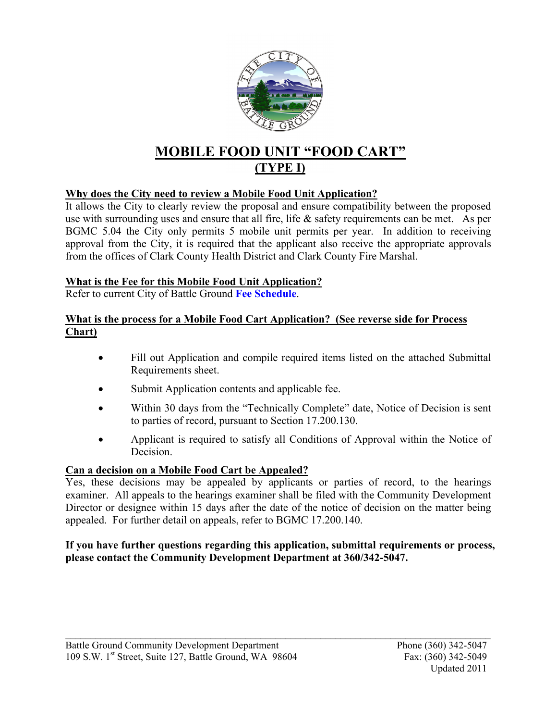

## **MOBILE FOOD UNIT "FOOD CART" (TYPE I)**

#### **Why does the City need to review a Mobile Food Unit Application?**

It allows the City to clearly review the proposal and ensure compatibility between the proposed use with surrounding uses and ensure that all fire, life & safety requirements can be met. As per BGMC 5.04 the City only permits 5 mobile unit permits per year. In addition to receiving approval from the City, it is required that the applicant also receive the appropriate approvals from the offices of Clark County Health District and Clark County Fire Marshal.

#### **What is the Fee for this Mobile Food Unit Application?**

Refer to current City of Battle Ground **[Fee Schedule](http://wa-battleground.civicplus.com/DocumentView.aspx?DID=562)**.

#### **What is the process for a Mobile Food Cart Application? (See reverse side for Process Chart)**

- Fill out Application and compile required items listed on the attached Submittal Requirements sheet.
- Submit Application contents and applicable fee.
- Within 30 days from the "Technically Complete" date, Notice of Decision is sent to parties of record, pursuant to Section 17.200.130.
- Applicant is required to satisfy all Conditions of Approval within the Notice of Decision.

#### **Can a decision on a Mobile Food Cart be Appealed?**

Yes, these decisions may be appealed by applicants or parties of record, to the hearings examiner. All appeals to the hearings examiner shall be filed with the Community Development Director or designee within 15 days after the date of the notice of decision on the matter being appealed. For further detail on appeals, refer to BGMC 17.200.140.

#### **If you have further questions regarding this application, submittal requirements or process, please contact the Community Development Department at 360/342-5047.**

 $\mathcal{L}_\text{max} = \mathcal{L}_\text{max} = \mathcal{L}_\text{max} = \mathcal{L}_\text{max} = \mathcal{L}_\text{max} = \mathcal{L}_\text{max} = \mathcal{L}_\text{max} = \mathcal{L}_\text{max} = \mathcal{L}_\text{max} = \mathcal{L}_\text{max} = \mathcal{L}_\text{max} = \mathcal{L}_\text{max} = \mathcal{L}_\text{max} = \mathcal{L}_\text{max} = \mathcal{L}_\text{max} = \mathcal{L}_\text{max} = \mathcal{L}_\text{max} = \mathcal{L}_\text{max} = \mathcal{$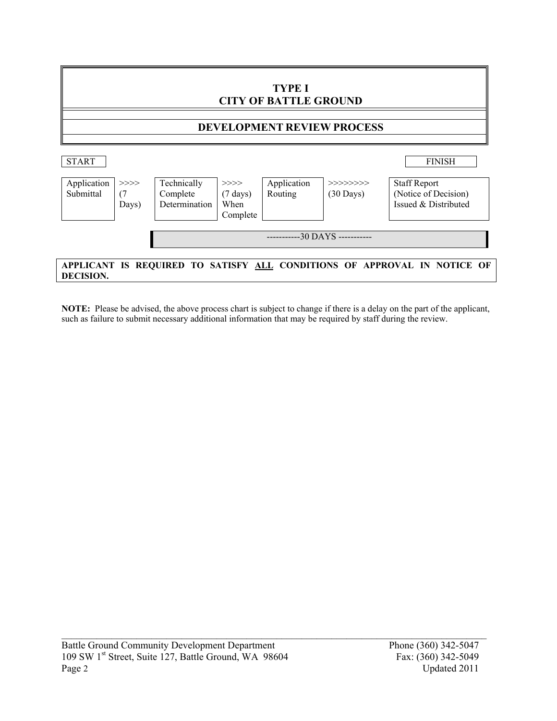

**NOTE:** Please be advised, the above process chart is subject to change if there is a delay on the part of the applicant, such as failure to submit necessary additional information that may be required by staff during the review.

 $\mathcal{L}_\text{max} = \mathcal{L}_\text{max} = \mathcal{L}_\text{max} = \mathcal{L}_\text{max} = \mathcal{L}_\text{max} = \mathcal{L}_\text{max} = \mathcal{L}_\text{max} = \mathcal{L}_\text{max} = \mathcal{L}_\text{max} = \mathcal{L}_\text{max} = \mathcal{L}_\text{max} = \mathcal{L}_\text{max} = \mathcal{L}_\text{max} = \mathcal{L}_\text{max} = \mathcal{L}_\text{max} = \mathcal{L}_\text{max} = \mathcal{L}_\text{max} = \mathcal{L}_\text{max} = \mathcal{$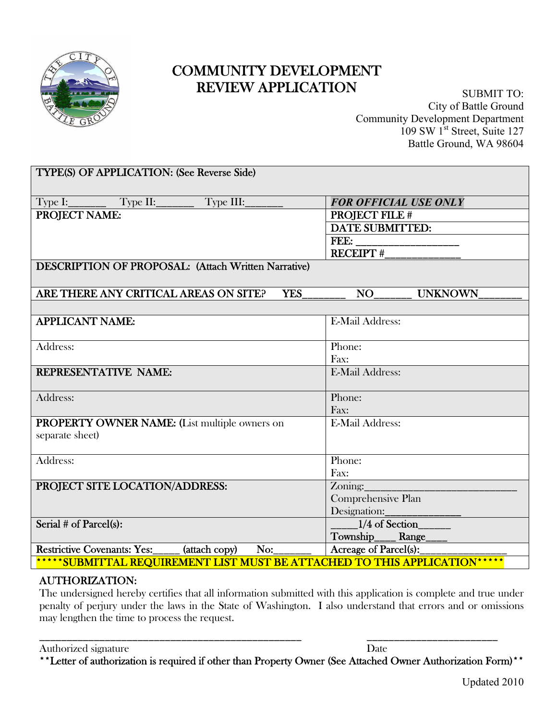

## REVIEW APPLICATION COMMUNITY DEVELOPMENT

SUBMIT TO: City of Battle Ground Community Development Department  $109$  SW  $1^{\text{st}}$  Street, Suite 127 Battle Ground, WA 98604

| TYPE(S) OF APPLICATION: (See Reverse Side)                                 |                              |  |
|----------------------------------------------------------------------------|------------------------------|--|
| $Type I:$ $Type II:$<br>Type III:                                          | <b>FOR OFFICIAL USE ONLY</b> |  |
| <b>PROJECT NAME:</b>                                                       | <b>PROJECT FILE #</b>        |  |
|                                                                            | <b>DATE SUBMITTED:</b>       |  |
|                                                                            |                              |  |
|                                                                            |                              |  |
| <b>DESCRIPTION OF PROPOSAL: (Attach Written Narrative)</b>                 |                              |  |
| ARE THERE ANY CRITICAL AREAS ON SITE?<br><b>YES</b>                        | NO<br><b>UNKNOWN</b>         |  |
|                                                                            |                              |  |
| <b>APPLICANT NAME:</b>                                                     | <b>E-Mail Address:</b>       |  |
| Address:                                                                   | Phone:                       |  |
|                                                                            | Fax:                         |  |
| REPRESENTATIVE NAME:                                                       | <b>E-Mail Address:</b>       |  |
| Address:                                                                   | Phone:                       |  |
|                                                                            | Fax:                         |  |
| PROPERTY OWNER NAME: (List multiple owners on                              | <b>E-Mail Address:</b>       |  |
| separate sheet)                                                            |                              |  |
|                                                                            |                              |  |
| Address:                                                                   | Phone:                       |  |
|                                                                            | Fax:                         |  |
| PROJECT SITE LOCATION/ADDRESS:                                             | $\sum_{\text{vmin}}$         |  |
|                                                                            | Comprehensive Plan           |  |
|                                                                            | Designation:                 |  |
| Serial # of Parcel(s):                                                     | $1/4$ of Section             |  |
|                                                                            | Township______Range____      |  |
| Restrictive Covenants: Yes:_____ (attach copy)<br>No:                      | Acreage of Parcel(s):        |  |
| *****SUBMITTAL REQUIREMENT LIST MUST BE ATTACHED TO THIS APPLICATION****** |                              |  |

#### AUTHORIZATION:

The undersigned hereby certifies that all information submitted with this application is complete and true under penalty of perjury under the laws in the State of Washington. I also understand that errors and or omissions may lengthen the time to process the request.

Authorized signature Date

\*\*Letter of authorization is required if other than Property Owner (See Attached Owner Authorization Form)\*\*

\_\_\_\_\_\_\_\_\_\_\_\_\_\_\_\_\_\_\_\_\_\_\_\_\_\_\_\_\_\_\_\_\_\_\_\_\_\_\_\_\_\_\_\_\_\_\_\_ \_\_\_\_\_\_\_\_\_\_\_\_\_\_\_\_\_\_\_\_\_\_\_\_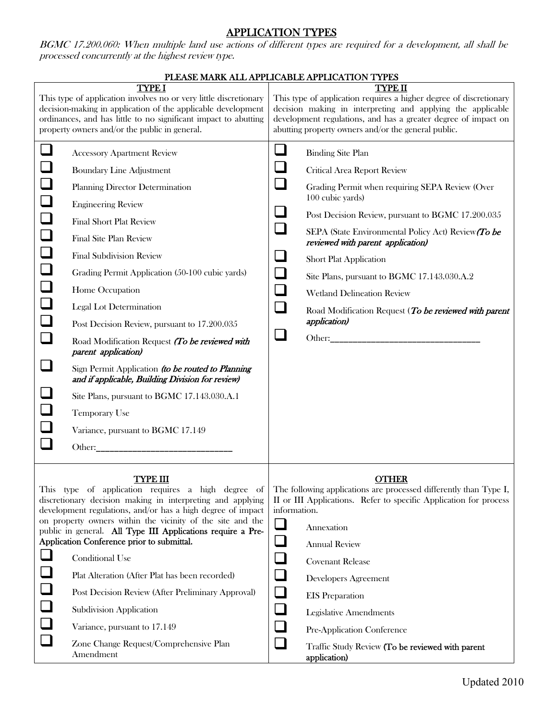#### APPLICATION TYPES

BGMC 17.200.060: When multiple land use actions of different types are required for a development, all shall be processed concurrently at the highest review type.

| PLEASE MARK ALL APPLICABLE APPLICATION TYPES                  |                                                                                                                                                                                                                                                                                                                                                                                                                                                                                                                                                                                                                                                                                                                                                                                                                                                                                                                      |                                                                                              |                                                                                                                                                                                                                                                                                                                                                                                                                                                                                       |  |
|---------------------------------------------------------------|----------------------------------------------------------------------------------------------------------------------------------------------------------------------------------------------------------------------------------------------------------------------------------------------------------------------------------------------------------------------------------------------------------------------------------------------------------------------------------------------------------------------------------------------------------------------------------------------------------------------------------------------------------------------------------------------------------------------------------------------------------------------------------------------------------------------------------------------------------------------------------------------------------------------|----------------------------------------------------------------------------------------------|---------------------------------------------------------------------------------------------------------------------------------------------------------------------------------------------------------------------------------------------------------------------------------------------------------------------------------------------------------------------------------------------------------------------------------------------------------------------------------------|--|
|                                                               | <b>TYPE I</b><br>This type of application involves no or very little discretionary<br>decision-making in application of the applicable development<br>ordinances, and has little to no significant impact to abutting<br>property owners and/or the public in general.                                                                                                                                                                                                                                                                                                                                                                                                                                                                                                                                                                                                                                               |                                                                                              | TYPE II<br>This type of application requires a higher degree of discretionary<br>decision making in interpreting and applying the applicable<br>development regulations, and has a greater degree of impact on<br>abutting property owners and/or the general public.                                                                                                                                                                                                                 |  |
| $\Box$<br>$\Box$<br>$\Box$<br>$\Box$<br>$\Box$<br>$\Box$<br>⊔ | <b>Accessory Apartment Review</b><br><b>Boundary Line Adjustment</b><br>Planning Director Determination<br><b>Engineering Review</b><br><b>Final Short Plat Review</b><br>Final Site Plan Review<br><b>Final Subdivision Review</b><br>Grading Permit Application (50-100 cubic yards)<br>Home Occupation<br><b>Legal Lot Determination</b><br>Post Decision Review, pursuant to 17.200.035<br>Road Modification Request (To be reviewed with<br>parent application)<br>Sign Permit Application (to be routed to Planning<br>and if applicable, Building Division for review)<br>Site Plans, pursuant to BGMC 17.143.030.A.1<br>Temporary Use<br>Variance, pursuant to BGMC 17.149<br>Other: The Communication of the Communication of the Communication of the Communication of the Communication of the Communication of the Communication of the Communication of the Communication of the Communication of the C | $\sqcup$<br>$\sqcup$<br>$\Box$<br>$\Box$<br>$\Box$<br>$\Box$<br>$\Box$<br>$\Box$             | <b>Binding Site Plan</b><br>Critical Area Report Review<br>Grading Permit when requiring SEPA Review (Over<br>100 cubic yards)<br>Post Decision Review, pursuant to BGMC 17.200.035<br>SEPA (State Environmental Policy Act) Review (To be<br>reviewed with parent application)<br><b>Short Plat Application</b><br>Site Plans, pursuant to BGMC 17.143.030.A.2<br><b>Wetland Delineation Review</b><br>Road Modification Request (To be reviewed with parent<br><i>application</i> ) |  |
|                                                               | <u>TYPE III</u><br>This type of application requires a high degree of<br>discretionary decision making in interpreting and applying<br>development regulations, and/or has a high degree of impact<br>on property owners within the vicinity of the site and the<br>public in general. All Type III Applications require a Pre-<br>Application Conference prior to submittal.<br><b>Conditional Use</b><br>Plat Alteration (After Plat has been recorded)<br>Post Decision Review (After Preliminary Approval)<br>Subdivision Application<br>Variance, pursuant to 17.149<br>Zone Change Request/Comprehensive Plan<br>Amendment                                                                                                                                                                                                                                                                                     | information.<br>$\Box$<br>$\Box$<br>$\Box$<br>$\Box$<br>$\Box$<br>$\Box$<br>$\Box$<br>$\Box$ | <b>OTHER</b><br>The following applications are processed differently than Type I,<br>II or III Applications. Refer to specific Application for process<br>Annexation<br><b>Annual Review</b><br><b>Covenant Release</b><br><b>Developers Agreement</b><br><b>EIS</b> Preparation<br><b>Legislative Amendments</b><br>Pre-Application Conference<br>Traffic Study Review (To be reviewed with parent<br>application)                                                                   |  |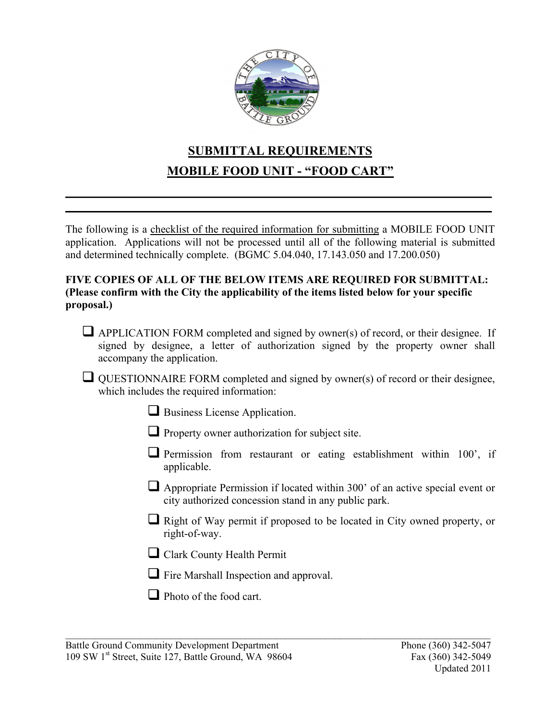

## **SUBMITTAL REQUIREMENTS MOBILE FOOD UNIT - "FOOD CART"**

**\_\_\_\_\_\_\_\_\_\_\_\_\_\_\_\_\_\_\_\_\_\_\_\_\_\_\_\_\_\_\_\_\_\_\_\_\_\_\_\_\_\_\_\_\_\_\_\_\_\_\_\_\_\_\_\_\_\_\_\_\_\_\_\_\_\_\_ \_\_\_\_\_\_\_\_\_\_\_\_\_\_\_\_\_\_\_\_\_\_\_\_\_\_\_\_\_\_\_\_\_\_\_\_\_\_\_\_\_\_\_\_\_\_\_\_\_\_\_\_\_\_\_\_\_\_\_\_\_\_\_\_\_\_\_**

The following is a checklist of the required information for submitting a MOBILE FOOD UNIT application. Applications will not be processed until all of the following material is submitted and determined technically complete. (BGMC 5.04.040, 17.143.050 and 17.200.050)

#### **FIVE COPIES OF ALL OF THE BELOW ITEMS ARE REQUIRED FOR SUBMITTAL: (Please confirm with the City the applicability of the items listed below for your specific proposal.)**

- $\Box$  APPLICATION FORM completed and signed by owner(s) of record, or their designee. If signed by designee, a letter of authorization signed by the property owner shall accompany the application.
- $\Box$  QUESTIONNAIRE FORM completed and signed by owner(s) of record or their designee, which includes the required information:
	- Business License Application.
	- $\Box$  Property owner authorization for subject site.
	- $\Box$  Permission from restaurant or eating establishment within 100', if applicable.
	- Appropriate Permission if located within 300' of an active special event or city authorized concession stand in any public park.
	- $\Box$  Right of Way permit if proposed to be located in City owned property, or right-of-way.
	- Clark County Health Permit
	- **T** Fire Marshall Inspection and approval.

 $\mathcal{L}_\text{max} = \mathcal{L}_\text{max} = \mathcal{L}_\text{max} = \mathcal{L}_\text{max} = \mathcal{L}_\text{max} = \mathcal{L}_\text{max} = \mathcal{L}_\text{max} = \mathcal{L}_\text{max} = \mathcal{L}_\text{max} = \mathcal{L}_\text{max} = \mathcal{L}_\text{max} = \mathcal{L}_\text{max} = \mathcal{L}_\text{max} = \mathcal{L}_\text{max} = \mathcal{L}_\text{max} = \mathcal{L}_\text{max} = \mathcal{L}_\text{max} = \mathcal{L}_\text{max} = \mathcal{$ 

 $\Box$  Photo of the food cart.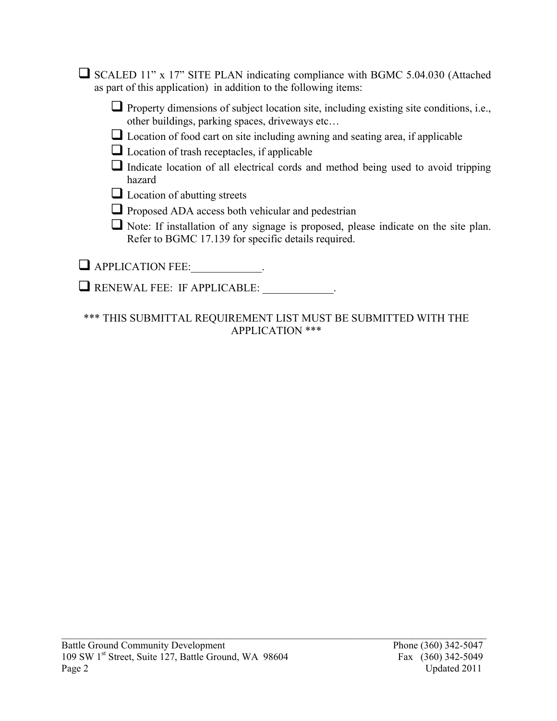$\Box$  SCALED 11" x 17" SITE PLAN indicating compliance with BGMC 5.04.030 (Attached as part of this application) in addition to the following items:

 $\Box$  Property dimensions of subject location site, including existing site conditions, i.e., other buildings, parking spaces, driveways etc…

- $\Box$  Location of food cart on site including awning and seating area, if applicable
- $\Box$  Location of trash receptacles, if applicable
- $\Box$  Indicate location of all electrical cords and method being used to avoid tripping hazard
- $\Box$  Location of abutting streets
- $\Box$  Proposed ADA access both vehicular and pedestrian
- $\Box$  Note: If installation of any signage is proposed, please indicate on the site plan. Refer to BGMC 17.139 for specific details required.

 $\Box$  APPLICATION FEE:\_\_\_\_\_\_\_\_\_\_\_\_.

RENEWAL FEE: IF APPLICABLE: \_\_\_\_\_\_\_\_\_\_\_\_\_.

\*\*\* THIS SUBMITTAL REQUIREMENT LIST MUST BE SUBMITTED WITH THE APPLICATION \*\*\*

 $\mathcal{L}_\text{max} = \mathcal{L}_\text{max} = \mathcal{L}_\text{max} = \mathcal{L}_\text{max} = \mathcal{L}_\text{max} = \mathcal{L}_\text{max} = \mathcal{L}_\text{max} = \mathcal{L}_\text{max} = \mathcal{L}_\text{max} = \mathcal{L}_\text{max} = \mathcal{L}_\text{max} = \mathcal{L}_\text{max} = \mathcal{L}_\text{max} = \mathcal{L}_\text{max} = \mathcal{L}_\text{max} = \mathcal{L}_\text{max} = \mathcal{L}_\text{max} = \mathcal{L}_\text{max} = \mathcal{$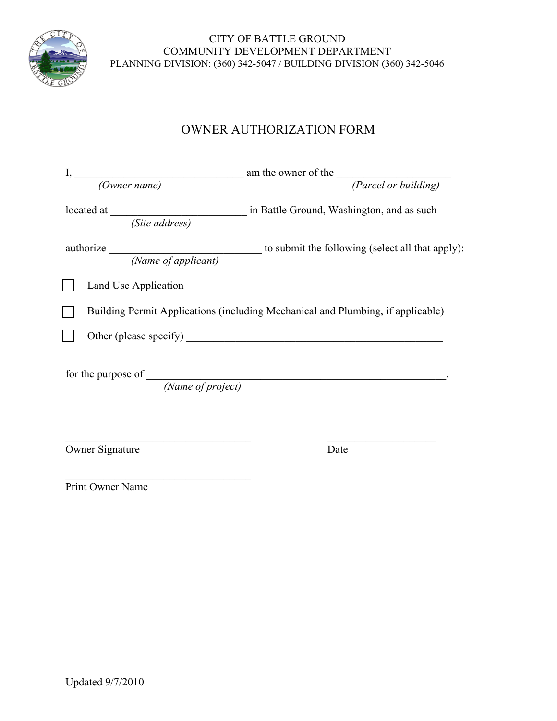

#### PLANNING DIVISION: (360) 342-5047 / BUILDING DIVISION (360) 342-5046 CITY OF BATTLE GROUND COMMUNITY DEVELOPMENT DEPARTMENT

### OWNER AUTHORIZATION FORM

|                                                  | I, $\frac{1}{(0 \text{ where } name)}$ am the owner of the $\frac{1}{(2 \text{   } ordered)}$ |
|--------------------------------------------------|-----------------------------------------------------------------------------------------------|
|                                                  | in Battle Ground, Washington, and as such                                                     |
|                                                  |                                                                                               |
| Land Use Application                             |                                                                                               |
|                                                  | Building Permit Applications (including Mechanical and Plumbing, if applicable)               |
|                                                  |                                                                                               |
| for the purpose of $\frac{Name\ of\ project)}{}$ |                                                                                               |
| Owner Signature                                  | Date                                                                                          |

 $\mathcal{L}_\text{max}$  , where  $\mathcal{L}_\text{max}$  and  $\mathcal{L}_\text{max}$  and  $\mathcal{L}_\text{max}$ Print Owner Name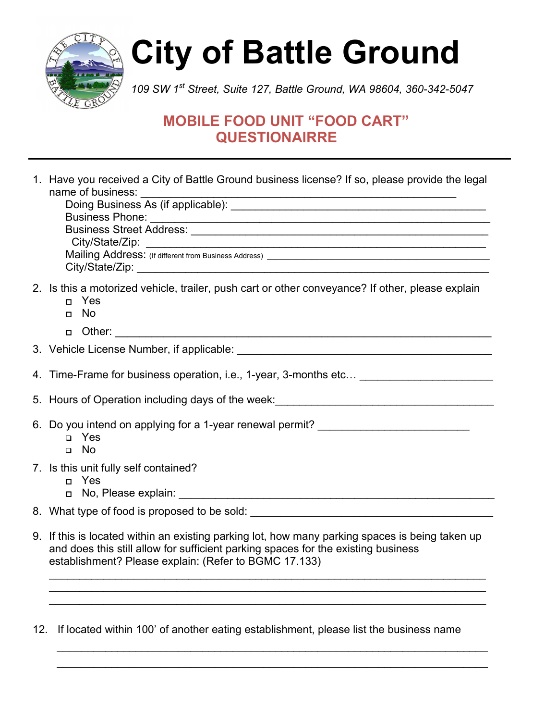

# **City of Battle Ground**

*109 SW 1st Street, Suite 127, Battle Ground, WA 98604, 360-342-5047*

## **MOBILE FOOD UNIT "FOOD CART" QUESTIONAIRRE**

| 1. Have you received a City of Battle Ground business license? If so, please provide the legal<br>name of business:                                                                                                                           |
|-----------------------------------------------------------------------------------------------------------------------------------------------------------------------------------------------------------------------------------------------|
| 2. Is this a motorized vehicle, trailer, push cart or other conveyance? If other, please explain<br>n Yes<br>No<br>П.                                                                                                                         |
|                                                                                                                                                                                                                                               |
|                                                                                                                                                                                                                                               |
|                                                                                                                                                                                                                                               |
| 5. Hours of Operation including days of the week: ______________________________                                                                                                                                                              |
| 6. Do you intend on applying for a 1-year renewal permit? ______________________<br>□ Yes<br>$\neg$ No                                                                                                                                        |
| 7. Is this unit fully self contained?<br>n Yes                                                                                                                                                                                                |
| 8. What type of food is proposed to be sold: ___________________________________                                                                                                                                                              |
| 9. If this is located within an existing parking lot, how many parking spaces is being taken up<br>and does this still allow for sufficient parking spaces for the existing business<br>establishment? Please explain: (Refer to BGMC 17.133) |
|                                                                                                                                                                                                                                               |

12. If located within 100' of another eating establishment, please list the business name

 $\_$ \_\_\_\_\_\_\_\_\_\_\_\_\_\_\_\_\_\_\_\_\_\_\_\_\_\_\_\_\_\_\_\_\_\_\_\_\_\_\_\_\_\_\_\_\_\_\_\_\_\_\_\_\_\_\_\_\_\_\_\_\_\_\_\_\_\_\_\_\_\_\_